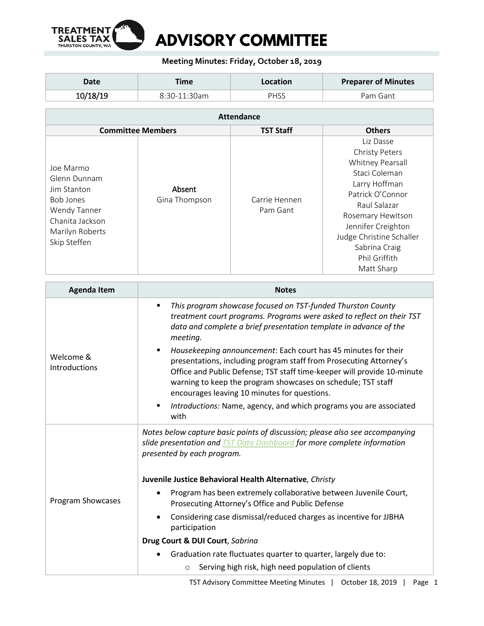

## **Meeting Minutes: Friday, October 18, 2019**

| Date     | Time           | Location | <b>Preparer of Minutes</b> |
|----------|----------------|----------|----------------------------|
| 10/18/19 | $8:30-11:30am$ | PHSS     | Pam Gant                   |

| <b>Attendance</b>                                                                                                                  |                         |                           |                                                                                                                                                                                                                                                     |  |  |
|------------------------------------------------------------------------------------------------------------------------------------|-------------------------|---------------------------|-----------------------------------------------------------------------------------------------------------------------------------------------------------------------------------------------------------------------------------------------------|--|--|
| <b>Committee Members</b>                                                                                                           |                         | <b>TST Staff</b>          | <b>Others</b>                                                                                                                                                                                                                                       |  |  |
| Joe Marmo<br>Glenn Dunnam<br>Jim Stanton<br><b>Bob Jones</b><br>Wendy Tanner<br>Chanita Jackson<br>Marilyn Roberts<br>Skip Steffen | Absent<br>Gina Thompson | Carrie Hennen<br>Pam Gant | Liz Dasse<br><b>Christy Peters</b><br>Whitney Pearsall<br>Staci Coleman<br>Larry Hoffman<br>Patrick O'Connor<br>Raul Salazar<br>Rosemary Hewitson<br>Jennifer Creighton<br>Judge Christine Schaller<br>Sabrina Craig<br>Phil Griffith<br>Matt Sharp |  |  |

| <b>Agenda Item</b>                | <b>Notes</b>                                                                                                                                                                                                                                                                                                                    |  |
|-----------------------------------|---------------------------------------------------------------------------------------------------------------------------------------------------------------------------------------------------------------------------------------------------------------------------------------------------------------------------------|--|
| Welcome &<br><b>Introductions</b> | This program showcase focused on TST-funded Thurston County<br>treatment court programs. Programs were asked to reflect on their TST<br>data and complete a brief presentation template in advance of the<br>meeting.                                                                                                           |  |
|                                   | Housekeeping announcement: Each court has 45 minutes for their<br>presentations, including program staff from Prosecuting Attorney's<br>Office and Public Defense; TST staff time-keeper will provide 10-minute<br>warning to keep the program showcases on schedule; TST staff<br>encourages leaving 10 minutes for questions. |  |
|                                   | Introductions: Name, agency, and which programs you are associated<br>with                                                                                                                                                                                                                                                      |  |
| Program Showcases                 | Notes below capture basic points of discussion; please also see accompanying<br>slide presentation and <b>TST Data Dashboard</b> for more complete information<br>presented by each program.                                                                                                                                    |  |
|                                   | Juvenile Justice Behavioral Health Alternative, Christy                                                                                                                                                                                                                                                                         |  |
|                                   | Program has been extremely collaborative between Juvenile Court,<br>Prosecuting Attorney's Office and Public Defense                                                                                                                                                                                                            |  |
|                                   | Considering case dismissal/reduced charges as incentive for JJBHA<br>participation                                                                                                                                                                                                                                              |  |
|                                   | Drug Court & DUI Court, Sabrina                                                                                                                                                                                                                                                                                                 |  |
|                                   | Graduation rate fluctuates quarter to quarter, largely due to:<br>Serving high risk, high need population of clients                                                                                                                                                                                                            |  |
|                                   | $\circ$                                                                                                                                                                                                                                                                                                                         |  |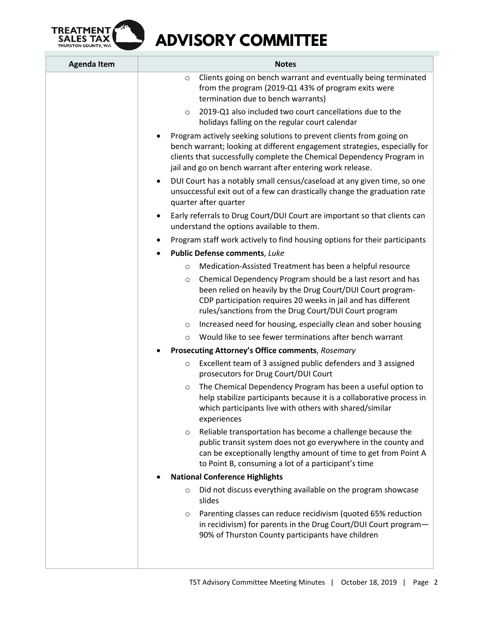

 **ADVISORY COMMITTEE**

| <b>Agenda Item</b> | <b>Notes</b>                                                                                                                                                                                                                                                                                                                                                                                                                                                                         |  |
|--------------------|--------------------------------------------------------------------------------------------------------------------------------------------------------------------------------------------------------------------------------------------------------------------------------------------------------------------------------------------------------------------------------------------------------------------------------------------------------------------------------------|--|
|                    | Clients going on bench warrant and eventually being terminated<br>$\circ$<br>from the program (2019-Q1 43% of program exits were<br>termination due to bench warrants)                                                                                                                                                                                                                                                                                                               |  |
|                    | 2019-Q1 also included two court cancellations due to the<br>$\circ$<br>holidays falling on the regular court calendar                                                                                                                                                                                                                                                                                                                                                                |  |
|                    | Program actively seeking solutions to prevent clients from going on<br>bench warrant; looking at different engagement strategies, especially for<br>clients that successfully complete the Chemical Dependency Program in<br>jail and go on bench warrant after entering work release.<br>DUI Court has a notably small census/caseload at any given time, so one<br>$\bullet$<br>unsuccessful exit out of a few can drastically change the graduation rate<br>quarter after quarter |  |
|                    |                                                                                                                                                                                                                                                                                                                                                                                                                                                                                      |  |
|                    | Early referrals to Drug Court/DUI Court are important so that clients can<br>$\bullet$<br>understand the options available to them.                                                                                                                                                                                                                                                                                                                                                  |  |
|                    | Program staff work actively to find housing options for their participants                                                                                                                                                                                                                                                                                                                                                                                                           |  |
|                    | <b>Public Defense comments, Luke</b>                                                                                                                                                                                                                                                                                                                                                                                                                                                 |  |
|                    | Medication-Assisted Treatment has been a helpful resource<br>$\circ$                                                                                                                                                                                                                                                                                                                                                                                                                 |  |
|                    | Chemical Dependency Program should be a last resort and has<br>$\circ$<br>been relied on heavily by the Drug Court/DUI Court program-<br>CDP participation requires 20 weeks in jail and has different<br>rules/sanctions from the Drug Court/DUI Court program                                                                                                                                                                                                                      |  |
|                    | Increased need for housing, especially clean and sober housing<br>$\circ$                                                                                                                                                                                                                                                                                                                                                                                                            |  |
|                    | Would like to see fewer terminations after bench warrant<br>$\circ$                                                                                                                                                                                                                                                                                                                                                                                                                  |  |
|                    | Prosecuting Attorney's Office comments, Rosemary                                                                                                                                                                                                                                                                                                                                                                                                                                     |  |
|                    | Excellent team of 3 assigned public defenders and 3 assigned<br>$\circ$<br>prosecutors for Drug Court/DUI Court                                                                                                                                                                                                                                                                                                                                                                      |  |
|                    | The Chemical Dependency Program has been a useful option to<br>$\circ$<br>help stabilize participants because it is a collaborative process in<br>which participants live with others with shared/similar<br>experiences                                                                                                                                                                                                                                                             |  |
|                    | Reliable transportation has become a challenge because the<br>$\circ$<br>public transit system does not go everywhere in the county and<br>can be exceptionally lengthy amount of time to get from Point A<br>to Point B, consuming a lot of a participant's time                                                                                                                                                                                                                    |  |
|                    | <b>National Conference Highlights</b>                                                                                                                                                                                                                                                                                                                                                                                                                                                |  |
|                    | Did not discuss everything available on the program showcase<br>$\circ$<br>slides                                                                                                                                                                                                                                                                                                                                                                                                    |  |
|                    | Parenting classes can reduce recidivism (quoted 65% reduction<br>$\circ$<br>in recidivism) for parents in the Drug Court/DUI Court program-<br>90% of Thurston County participants have children                                                                                                                                                                                                                                                                                     |  |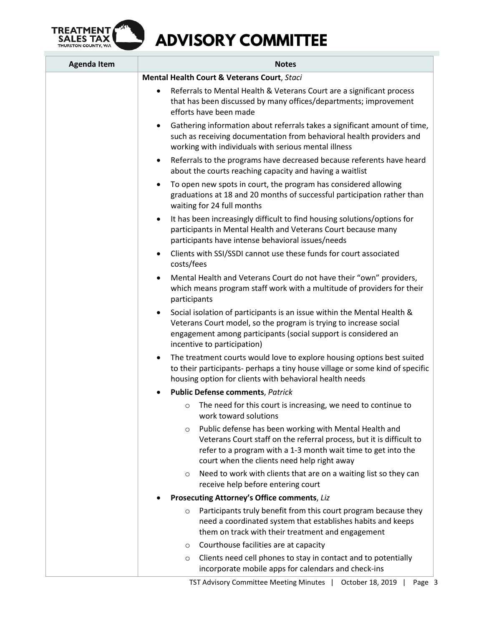

## **ADVISORY COMMITTEE**

| <b>Agenda Item</b> | <b>Notes</b>                                                                                                                                                                                                                                               |  |
|--------------------|------------------------------------------------------------------------------------------------------------------------------------------------------------------------------------------------------------------------------------------------------------|--|
|                    | Mental Health Court & Veterans Court, Staci                                                                                                                                                                                                                |  |
|                    | Referrals to Mental Health & Veterans Court are a significant process<br>$\bullet$<br>that has been discussed by many offices/departments; improvement<br>efforts have been made                                                                           |  |
|                    | Gathering information about referrals takes a significant amount of time,<br>٠<br>such as receiving documentation from behavioral health providers and<br>working with individuals with serious mental illness                                             |  |
|                    | Referrals to the programs have decreased because referents have heard<br>$\bullet$<br>about the courts reaching capacity and having a waitlist                                                                                                             |  |
|                    | To open new spots in court, the program has considered allowing<br>$\bullet$<br>graduations at 18 and 20 months of successful participation rather than<br>waiting for 24 full months                                                                      |  |
|                    | It has been increasingly difficult to find housing solutions/options for<br>$\bullet$<br>participants in Mental Health and Veterans Court because many<br>participants have intense behavioral issues/needs                                                |  |
|                    | Clients with SSI/SSDI cannot use these funds for court associated<br>٠<br>costs/fees                                                                                                                                                                       |  |
|                    | Mental Health and Veterans Court do not have their "own" providers,<br>$\bullet$<br>which means program staff work with a multitude of providers for their<br>participants                                                                                 |  |
|                    | Social isolation of participants is an issue within the Mental Health &<br>$\bullet$<br>Veterans Court model, so the program is trying to increase social<br>engagement among participants (social support is considered an<br>incentive to participation) |  |
|                    | The treatment courts would love to explore housing options best suited<br>$\bullet$<br>to their participants- perhaps a tiny house village or some kind of specific<br>housing option for clients with behavioral health needs                             |  |
|                    | <b>Public Defense comments, Patrick</b>                                                                                                                                                                                                                    |  |
|                    | The need for this court is increasing, we need to continue to<br>$\circ$<br>work toward solutions                                                                                                                                                          |  |
|                    | Public defense has been working with Mental Health and<br>$\circ$<br>Veterans Court staff on the referral process, but it is difficult to<br>refer to a program with a 1-3 month wait time to get into the<br>court when the clients need help right away  |  |
|                    | Need to work with clients that are on a waiting list so they can<br>$\circ$<br>receive help before entering court                                                                                                                                          |  |
|                    | Prosecuting Attorney's Office comments, Liz                                                                                                                                                                                                                |  |
|                    | Participants truly benefit from this court program because they<br>$\circ$<br>need a coordinated system that establishes habits and keeps<br>them on track with their treatment and engagement                                                             |  |
|                    | Courthouse facilities are at capacity<br>$\circ$                                                                                                                                                                                                           |  |
|                    | Clients need cell phones to stay in contact and to potentially<br>$\circ$<br>incorporate mobile apps for calendars and check-ins                                                                                                                           |  |